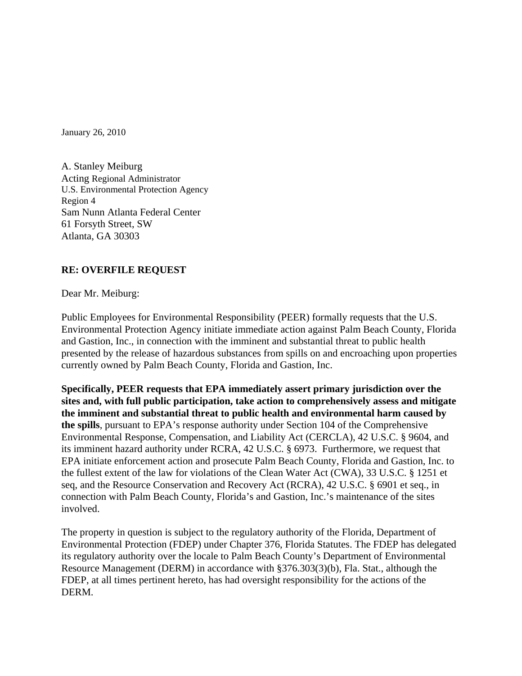January 26, 2010

A. Stanley Meiburg Acting Regional Administrator U.S. Environmental Protection Agency Region 4 Sam Nunn Atlanta Federal Center 61 Forsyth Street, SW Atlanta, GA 30303

### **RE: OVERFILE REQUEST**

Dear Mr. Meiburg:

Public Employees for Environmental Responsibility (PEER) formally requests that the U.S. Environmental Protection Agency initiate immediate action against Palm Beach County, Florida and Gastion, Inc., in connection with the imminent and substantial threat to public health presented by the release of hazardous substances from spills on and encroaching upon properties currently owned by Palm Beach County, Florida and Gastion, Inc.

**Specifically, PEER requests that EPA immediately assert primary jurisdiction over the sites and, with full public participation, take action to comprehensively assess and mitigate the imminent and substantial threat to public health and environmental harm caused by the spills**, pursuant to EPA's response authority under Section 104 of the Comprehensive Environmental Response, Compensation, and Liability Act (CERCLA), 42 U.S.C. § 9604, and its imminent hazard authority under RCRA, 42 U.S.C. § 6973. Furthermore, we request that EPA initiate enforcement action and prosecute Palm Beach County, Florida and Gastion, Inc. to the fullest extent of the law for violations of the Clean Water Act (CWA), 33 U.S.C. § 1251 et seq, and the Resource Conservation and Recovery Act (RCRA), 42 U.S.C. § 6901 et seq., in connection with Palm Beach County, Florida's and Gastion, Inc.'s maintenance of the sites involved.

The property in question is subject to the regulatory authority of the Florida, Department of Environmental Protection (FDEP) under Chapter 376, Florida Statutes. The FDEP has delegated its regulatory authority over the locale to Palm Beach County's Department of Environmental Resource Management (DERM) in accordance with §376.303(3)(b), Fla. Stat., although the FDEP, at all times pertinent hereto, has had oversight responsibility for the actions of the DERM.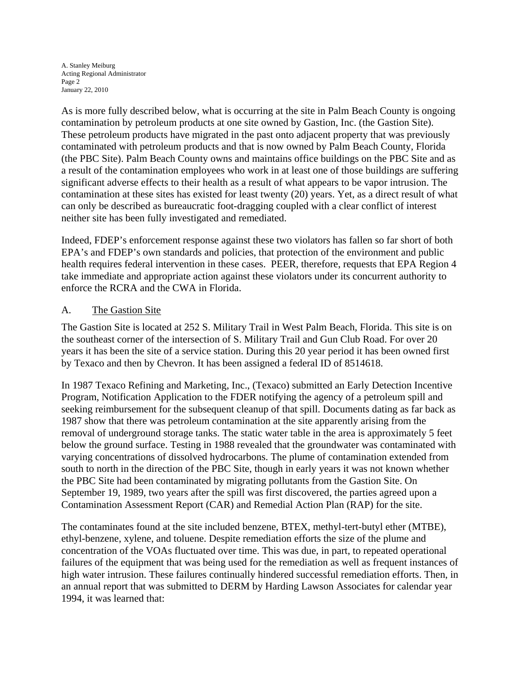A. Stanley Meiburg Acting Regional Administrator Page 2 January 22, 2010

As is more fully described below, what is occurring at the site in Palm Beach County is ongoing contamination by petroleum products at one site owned by Gastion, Inc. (the Gastion Site). These petroleum products have migrated in the past onto adjacent property that was previously contaminated with petroleum products and that is now owned by Palm Beach County, Florida (the PBC Site). Palm Beach County owns and maintains office buildings on the PBC Site and as a result of the contamination employees who work in at least one of those buildings are suffering significant adverse effects to their health as a result of what appears to be vapor intrusion. The contamination at these sites has existed for least twenty (20) years. Yet, as a direct result of what can only be described as bureaucratic foot-dragging coupled with a clear conflict of interest neither site has been fully investigated and remediated.

Indeed, FDEP's enforcement response against these two violators has fallen so far short of both EPA's and FDEP's own standards and policies, that protection of the environment and public health requires federal intervention in these cases. PEER, therefore, requests that EPA Region 4 take immediate and appropriate action against these violators under its concurrent authority to enforce the RCRA and the CWA in Florida.

### A. The Gastion Site

The Gastion Site is located at 252 S. Military Trail in West Palm Beach, Florida. This site is on the southeast corner of the intersection of S. Military Trail and Gun Club Road. For over 20 years it has been the site of a service station. During this 20 year period it has been owned first by Texaco and then by Chevron. It has been assigned a federal ID of 8514618.

In 1987 Texaco Refining and Marketing, Inc., (Texaco) submitted an Early Detection Incentive Program, Notification Application to the FDER notifying the agency of a petroleum spill and seeking reimbursement for the subsequent cleanup of that spill. Documents dating as far back as 1987 show that there was petroleum contamination at the site apparently arising from the removal of underground storage tanks. The static water table in the area is approximately 5 feet below the ground surface. Testing in 1988 revealed that the groundwater was contaminated with varying concentrations of dissolved hydrocarbons. The plume of contamination extended from south to north in the direction of the PBC Site, though in early years it was not known whether the PBC Site had been contaminated by migrating pollutants from the Gastion Site. On September 19, 1989, two years after the spill was first discovered, the parties agreed upon a Contamination Assessment Report (CAR) and Remedial Action Plan (RAP) for the site.

The contaminates found at the site included benzene, BTEX, methyl-tert-butyl ether (MTBE), ethyl-benzene, xylene, and toluene. Despite remediation efforts the size of the plume and concentration of the VOAs fluctuated over time. This was due, in part, to repeated operational failures of the equipment that was being used for the remediation as well as frequent instances of high water intrusion. These failures continually hindered successful remediation efforts. Then, in an annual report that was submitted to DERM by Harding Lawson Associates for calendar year 1994, it was learned that: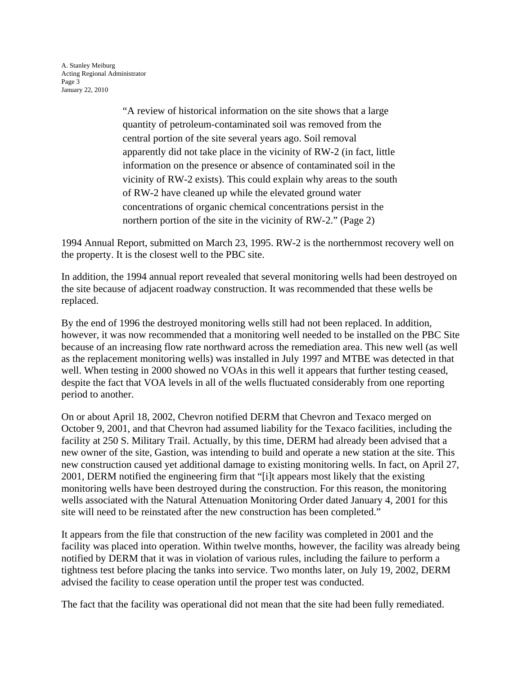A. Stanley Meiburg Acting Regional Administrator Page 3 January 22, 2010

> "A review of historical information on the site shows that a large quantity of petroleum-contaminated soil was removed from the central portion of the site several years ago. Soil removal apparently did not take place in the vicinity of RW-2 (in fact, little information on the presence or absence of contaminated soil in the vicinity of RW-2 exists). This could explain why areas to the south of RW-2 have cleaned up while the elevated ground water concentrations of organic chemical concentrations persist in the northern portion of the site in the vicinity of RW-2." (Page 2)

1994 Annual Report, submitted on March 23, 1995. RW-2 is the northernmost recovery well on the property. It is the closest well to the PBC site.

In addition, the 1994 annual report revealed that several monitoring wells had been destroyed on the site because of adjacent roadway construction. It was recommended that these wells be replaced.

By the end of 1996 the destroyed monitoring wells still had not been replaced. In addition, however, it was now recommended that a monitoring well needed to be installed on the PBC Site because of an increasing flow rate northward across the remediation area. This new well (as well as the replacement monitoring wells) was installed in July 1997 and MTBE was detected in that well. When testing in 2000 showed no VOAs in this well it appears that further testing ceased, despite the fact that VOA levels in all of the wells fluctuated considerably from one reporting period to another.

On or about April 18, 2002, Chevron notified DERM that Chevron and Texaco merged on October 9, 2001, and that Chevron had assumed liability for the Texaco facilities, including the facility at 250 S. Military Trail. Actually, by this time, DERM had already been advised that a new owner of the site, Gastion, was intending to build and operate a new station at the site. This new construction caused yet additional damage to existing monitoring wells. In fact, on April 27, 2001, DERM notified the engineering firm that "[i]t appears most likely that the existing monitoring wells have been destroyed during the construction. For this reason, the monitoring wells associated with the Natural Attenuation Monitoring Order dated January 4, 2001 for this site will need to be reinstated after the new construction has been completed."

It appears from the file that construction of the new facility was completed in 2001 and the facility was placed into operation. Within twelve months, however, the facility was already being notified by DERM that it was in violation of various rules, including the failure to perform a tightness test before placing the tanks into service. Two months later, on July 19, 2002, DERM advised the facility to cease operation until the proper test was conducted.

The fact that the facility was operational did not mean that the site had been fully remediated.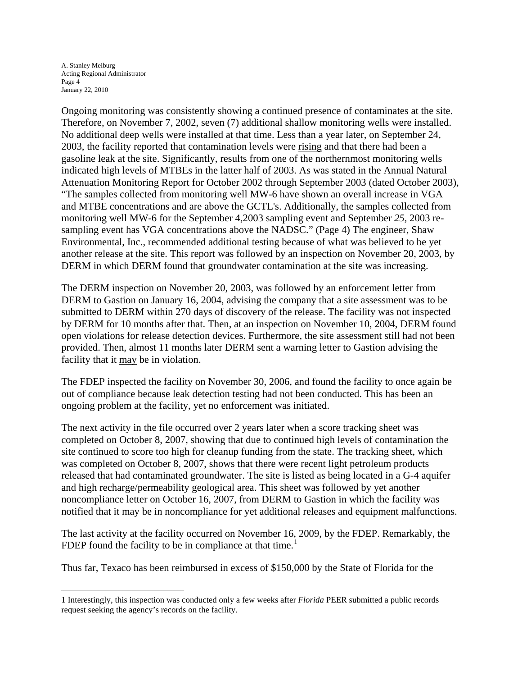A. Stanley Meiburg Acting Regional Administrator Page 4 January 22, 2010

 $\overline{a}$ 

Ongoing monitoring was consistently showing a continued presence of contaminates at the site. Therefore, on November 7, 2002, seven (7) additional shallow monitoring wells were installed. No additional deep wells were installed at that time. Less than a year later, on September 24, 2003, the facility reported that contamination levels were rising and that there had been a gasoline leak at the site. Significantly, results from one of the northernmost monitoring wells indicated high levels of MTBEs in the latter half of 2003. As was stated in the Annual Natural Attenuation Monitoring Report for October 2002 through September 2003 (dated October 2003), "The samples collected from monitoring well MW-6 have shown an overall increase in VGA and MTBE concentrations and are above the GCTL's. Additionally, the samples collected from monitoring well MW-6 for the September 4,2003 sampling event and September *25,* 2003 resampling event has VGA concentrations above the NADSC." (Page 4) The engineer, Shaw Environmental, Inc., recommended additional testing because of what was believed to be yet another release at the site. This report was followed by an inspection on November 20, 2003, by DERM in which DERM found that groundwater contamination at the site was increasing.

The DERM inspection on November 20, 2003, was followed by an enforcement letter from DERM to Gastion on January 16, 2004, advising the company that a site assessment was to be submitted to DERM within 270 days of discovery of the release. The facility was not inspected by DERM for 10 months after that. Then, at an inspection on November 10, 2004, DERM found open violations for release detection devices. Furthermore, the site assessment still had not been provided. Then, almost 11 months later DERM sent a warning letter to Gastion advising the facility that it may be in violation.

The FDEP inspected the facility on November 30, 2006, and found the facility to once again be out of compliance because leak detection testing had not been conducted. This has been an ongoing problem at the facility, yet no enforcement was initiated.

The next activity in the file occurred over 2 years later when a score tracking sheet was completed on October 8, 2007, showing that due to continued high levels of contamination the site continued to score too high for cleanup funding from the state. The tracking sheet, which was completed on October 8, 2007, shows that there were recent light petroleum products released that had contaminated groundwater. The site is listed as being located in a G-4 aquifer and high recharge/permeability geological area. This sheet was followed by yet another noncompliance letter on October 16, 2007, from DERM to Gastion in which the facility was notified that it may be in noncompliance for yet additional releases and equipment malfunctions.

The last activity at the facility occurred on November 16, 2009, by the FDEP. Remarkably, the FDEP found the facility to be in compliance at that time.<sup>[1](#page-3-0)</sup>

Thus far, Texaco has been reimbursed in excess of \$150,000 by the State of Florida for the

<span id="page-3-0"></span><sup>1</sup> Interestingly, this inspection was conducted only a few weeks after *Florida* PEER submitted a public records request seeking the agency's records on the facility.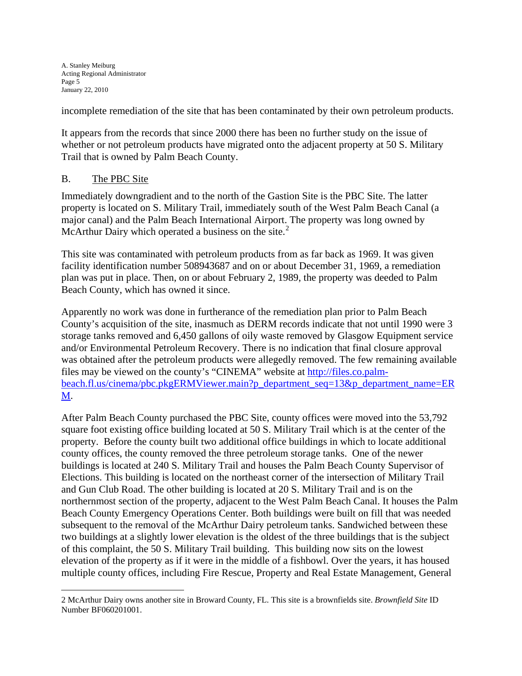incomplete remediation of the site that has been contaminated by their own petroleum products.

It appears from the records that since 2000 there has been no further study on the issue of whether or not petroleum products have migrated onto the adjacent property at 50 S. Military Trail that is owned by Palm Beach County.

## B. The PBC Site

 $\overline{a}$ 

Immediately downgradient and to the north of the Gastion Site is the PBC Site. The latter property is located on S. Military Trail, immediately south of the West Palm Beach Canal (a major canal) and the Palm Beach International Airport. The property was long owned by McArthur Dairy which operated a business on the site. $2^2$  $2^2$ 

This site was contaminated with petroleum products from as far back as 1969. It was given facility identification number 508943687 and on or about December 31, 1969, a remediation plan was put in place. Then, on or about February 2, 1989, the property was deeded to Palm Beach County, which has owned it since.

Apparently no work was done in furtherance of the remediation plan prior to Palm Beach County's acquisition of the site, inasmuch as DERM records indicate that not until 1990 were 3 storage tanks removed and 6,450 gallons of oily waste removed by Glasgow Equipment service and/or Environmental Petroleum Recovery. There is no indication that final closure approval was obtained after the petroleum products were allegedly removed. The few remaining available files may be viewed on the county's "CINEMA" website at [http://files.co.palm](http://files.co.palm-beach.fl.us/cinema/pbc.pkgERMViewer.main?p_department_seq=13&p_department_name=ERM)[beach.fl.us/cinema/pbc.pkgERMViewer.main?p\\_department\\_seq=13&p\\_department\\_name=ER](http://files.co.palm-beach.fl.us/cinema/pbc.pkgERMViewer.main?p_department_seq=13&p_department_name=ERM) [M.](http://files.co.palm-beach.fl.us/cinema/pbc.pkgERMViewer.main?p_department_seq=13&p_department_name=ERM)

After Palm Beach County purchased the PBC Site, county offices were moved into the 53,792 square foot existing office building located at 50 S. Military Trail which is at the center of the property. Before the county built two additional office buildings in which to locate additional county offices, the county removed the three petroleum storage tanks. One of the newer buildings is located at 240 S. Military Trail and houses the Palm Beach County Supervisor of Elections. This building is located on the northeast corner of the intersection of Military Trail and Gun Club Road. The other building is located at 20 S. Military Trail and is on the northernmost section of the property, adjacent to the West Palm Beach Canal. It houses the Palm Beach County Emergency Operations Center. Both buildings were built on fill that was needed subsequent to the removal of the McArthur Dairy petroleum tanks. Sandwiched between these two buildings at a slightly lower elevation is the oldest of the three buildings that is the subject of this complaint, the 50 S. Military Trail building. This building now sits on the lowest elevation of the property as if it were in the middle of a fishbowl. Over the years, it has housed multiple county offices, including Fire Rescue, Property and Real Estate Management, General

<span id="page-4-0"></span><sup>2</sup> McArthur Dairy owns another site in Broward County, FL. This site is a brownfields site. *Brownfield Site* ID Number BF060201001.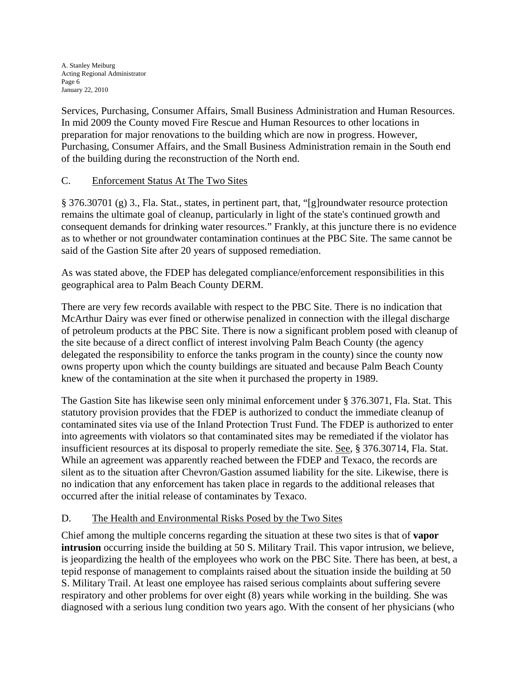Services, Purchasing, Consumer Affairs, Small Business Administration and Human Resources. In mid 2009 the County moved Fire Rescue and Human Resources to other locations in preparation for major renovations to the building which are now in progress. However, Purchasing, Consumer Affairs, and the Small Business Administration remain in the South end of the building during the reconstruction of the North end.

# C. Enforcement Status At The Two Sites

§ 376.30701 (g) 3., Fla. Stat., states, in pertinent part, that, "[g]roundwater resource protection remains the ultimate goal of cleanup, particularly in light of the state's continued growth and consequent demands for drinking water resources." Frankly, at this juncture there is no evidence as to whether or not groundwater contamination continues at the PBC Site. The same cannot be said of the Gastion Site after 20 years of supposed remediation.

As was stated above, the FDEP has delegated compliance/enforcement responsibilities in this geographical area to Palm Beach County DERM.

There are very few records available with respect to the PBC Site. There is no indication that McArthur Dairy was ever fined or otherwise penalized in connection with the illegal discharge of petroleum products at the PBC Site. There is now a significant problem posed with cleanup of the site because of a direct conflict of interest involving Palm Beach County (the agency delegated the responsibility to enforce the tanks program in the county) since the county now owns property upon which the county buildings are situated and because Palm Beach County knew of the contamination at the site when it purchased the property in 1989.

The Gastion Site has likewise seen only minimal enforcement under § 376.3071, Fla. Stat. This statutory provision provides that the FDEP is authorized to conduct the immediate cleanup of contaminated sites via use of the Inland Protection Trust Fund. The FDEP is authorized to enter into agreements with violators so that contaminated sites may be remediated if the violator has insufficient resources at its disposal to properly remediate the site. See, § 376.30714, Fla. Stat. While an agreement was apparently reached between the FDEP and Texaco, the records are silent as to the situation after Chevron/Gastion assumed liability for the site. Likewise, there is no indication that any enforcement has taken place in regards to the additional releases that occurred after the initial release of contaminates by Texaco.

# D. The Health and Environmental Risks Posed by the Two Sites

Chief among the multiple concerns regarding the situation at these two sites is that of **vapor intrusion** occurring inside the building at 50 S. Military Trail. This vapor intrusion, we believe, is jeopardizing the health of the employees who work on the PBC Site. There has been, at best, a tepid response of management to complaints raised about the situation inside the building at 50 S. Military Trail. At least one employee has raised serious complaints about suffering severe respiratory and other problems for over eight (8) years while working in the building. She was diagnosed with a serious lung condition two years ago. With the consent of her physicians (who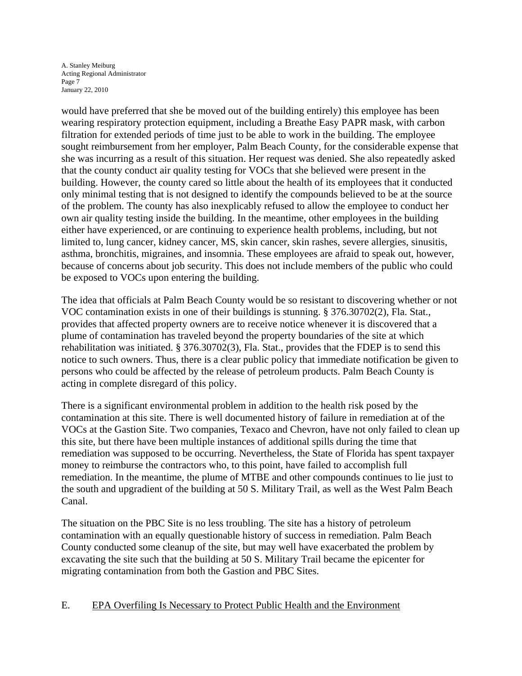A. Stanley Meiburg Acting Regional Administrator Page 7 January 22, 2010

would have preferred that she be moved out of the building entirely) this employee has been wearing respiratory protection equipment, including a Breathe Easy PAPR mask, with carbon filtration for extended periods of time just to be able to work in the building. The employee sought reimbursement from her employer, Palm Beach County, for the considerable expense that she was incurring as a result of this situation. Her request was denied. She also repeatedly asked that the county conduct air quality testing for VOCs that she believed were present in the building. However, the county cared so little about the health of its employees that it conducted only minimal testing that is not designed to identify the compounds believed to be at the source of the problem. The county has also inexplicably refused to allow the employee to conduct her own air quality testing inside the building. In the meantime, other employees in the building either have experienced, or are continuing to experience health problems, including, but not limited to, lung cancer, kidney cancer, MS, skin cancer, skin rashes, severe allergies, sinusitis, asthma, bronchitis, migraines, and insomnia. These employees are afraid to speak out, however, because of concerns about job security. This does not include members of the public who could be exposed to VOCs upon entering the building.

The idea that officials at Palm Beach County would be so resistant to discovering whether or not VOC contamination exists in one of their buildings is stunning. § 376.30702(2), Fla. Stat., provides that affected property owners are to receive notice whenever it is discovered that a plume of contamination has traveled beyond the property boundaries of the site at which rehabilitation was initiated. § 376.30702(3), Fla. Stat., provides that the FDEP is to send this notice to such owners. Thus, there is a clear public policy that immediate notification be given to persons who could be affected by the release of petroleum products. Palm Beach County is acting in complete disregard of this policy.

There is a significant environmental problem in addition to the health risk posed by the contamination at this site. There is well documented history of failure in remediation at of the VOCs at the Gastion Site. Two companies, Texaco and Chevron, have not only failed to clean up this site, but there have been multiple instances of additional spills during the time that remediation was supposed to be occurring. Nevertheless, the State of Florida has spent taxpayer money to reimburse the contractors who, to this point, have failed to accomplish full remediation. In the meantime, the plume of MTBE and other compounds continues to lie just to the south and upgradient of the building at 50 S. Military Trail, as well as the West Palm Beach Canal.

The situation on the PBC Site is no less troubling. The site has a history of petroleum contamination with an equally questionable history of success in remediation. Palm Beach County conducted some cleanup of the site, but may well have exacerbated the problem by excavating the site such that the building at 50 S. Military Trail became the epicenter for migrating contamination from both the Gastion and PBC Sites.

## E. EPA Overfiling Is Necessary to Protect Public Health and the Environment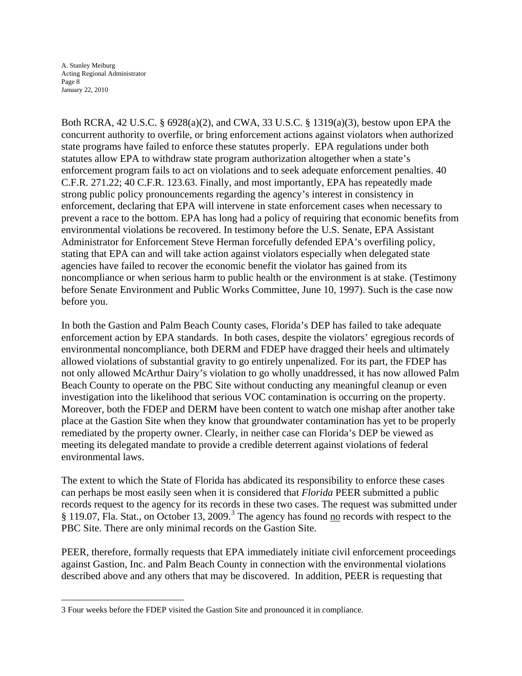A. Stanley Meiburg Acting Regional Administrator Page 8 January 22, 2010

 $\overline{a}$ 

Both RCRA, 42 U.S.C. § 6928(a)(2), and CWA, 33 U.S.C. § 1319(a)(3), bestow upon EPA the concurrent authority to overfile, or bring enforcement actions against violators when authorized state programs have failed to enforce these statutes properly. EPA regulations under both statutes allow EPA to withdraw state program authorization altogether when a state's enforcement program fails to act on violations and to seek adequate enforcement penalties. 40 C.F.R. 271.22; 40 C.F.R. 123.63. Finally, and most importantly, EPA has repeatedly made strong public policy pronouncements regarding the agency's interest in consistency in enforcement, declaring that EPA will intervene in state enforcement cases when necessary to prevent a race to the bottom. EPA has long had a policy of requiring that economic benefits from environmental violations be recovered. In testimony before the U.S. Senate, EPA Assistant Administrator for Enforcement Steve Herman forcefully defended EPA's overfiling policy, stating that EPA can and will take action against violators especially when delegated state agencies have failed to recover the economic benefit the violator has gained from its noncompliance or when serious harm to public health or the environment is at stake. (Testimony before Senate Environment and Public Works Committee, June 10, 1997). Such is the case now before you.

In both the Gastion and Palm Beach County cases, Florida's DEP has failed to take adequate enforcement action by EPA standards. In both cases, despite the violators' egregious records of environmental noncompliance, both DERM and FDEP have dragged their heels and ultimately allowed violations of substantial gravity to go entirely unpenalized. For its part, the FDEP has not only allowed McArthur Dairy's violation to go wholly unaddressed, it has now allowed Palm Beach County to operate on the PBC Site without conducting any meaningful cleanup or even investigation into the likelihood that serious VOC contamination is occurring on the property. Moreover, both the FDEP and DERM have been content to watch one mishap after another take place at the Gastion Site when they know that groundwater contamination has yet to be properly remediated by the property owner. Clearly, in neither case can Florida's DEP be viewed as meeting its delegated mandate to provide a credible deterrent against violations of federal environmental laws.

The extent to which the State of Florida has abdicated its responsibility to enforce these cases can perhaps be most easily seen when it is considered that *Florida* PEER submitted a public records request to the agency for its records in these two cases. The request was submitted under § 119.07, Fla. Stat., on October 1[3](#page-7-0), 2009.<sup>3</sup> The agency has found no records with respect to the PBC Site. There are only minimal records on the Gastion Site.

PEER, therefore, formally requests that EPA immediately initiate civil enforcement proceedings against Gastion, Inc. and Palm Beach County in connection with the environmental violations described above and any others that may be discovered. In addition, PEER is requesting that

<span id="page-7-0"></span><sup>3</sup> Four weeks before the FDEP visited the Gastion Site and pronounced it in compliance.